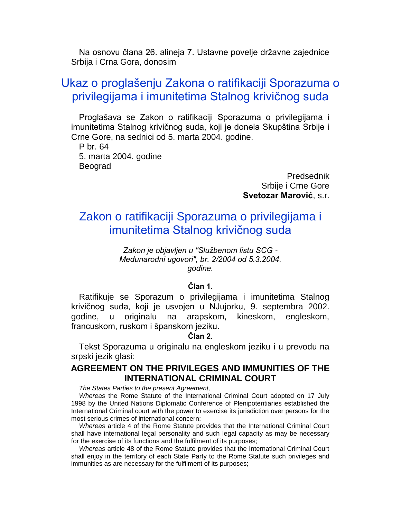Na osnovu člana 26. alineja 7. Ustavne povelje državne zajednice Srbija i Crna Gora, donosim

# Ukaz o proglašenju Zakona o ratifikaciji Sporazuma o privilegijama i imunitetima Stalnog krivičnog suda

Proglašava se Zakon o ratifikaciji Sporazuma o privilegijama i imunitetima Stalnog krivičnog suda, koji je donela Skupština Srbije i Crne Gore, na sednici od 5. marta 2004. godine.

P br. 64 5. marta 2004. godine Beograd

> Predsednik Srbije i Crne Gore **Svetozar Marović**, s.r.

# Zakon o ratifikaciji Sporazuma o privilegijama i imunitetima Stalnog krivičnog suda

*Zakon je objavljen u "Službenom listu SCG - Međunarodni ugovori", br. 2/2004 od 5.3.2004. godine.*

# **Član 1.**

Ratifikuje se Sporazum o privilegijama i imunitetima Stalnog krivičnog suda, koji je usvojen u NJujorku, 9. septembra 2002. godine, u originalu na arapskom, kineskom, engleskom, francuskom, ruskom i španskom jeziku.

### **Član 2.**

Tekst Sporazuma u originalu na engleskom jeziku i u prevodu na srpski jezik glasi:

# **AGREEMENT ON THE PRIVILEGES AND IMMUNITIES OF THE INTERNATIONAL CRIMINAL COURT**

*The States Parties to the present Agreement,*

*Whereas* the Rome Statute of the International Criminal Court adopted on 17 July 1998 by the United Nations Diplomatic Conference of Plenipotentiaries established the International Criminal court with the power to exercise its jurisdiction over persons for the most serious crimes of international concern;

*Whereas* article 4 of the Rome Statute provides that the International Criminal Court shall have international legal personality and such legal capacity as may be necessary for the exercise of its functions and the fulfilment of its purposes;

*Whereas* article 48 of the Rome Statute provides that the International Criminal Court shall enjoy in the territory of each State Party to the Rome Statute such privileges and immunities as are necessary for the fulfilment of its purposes;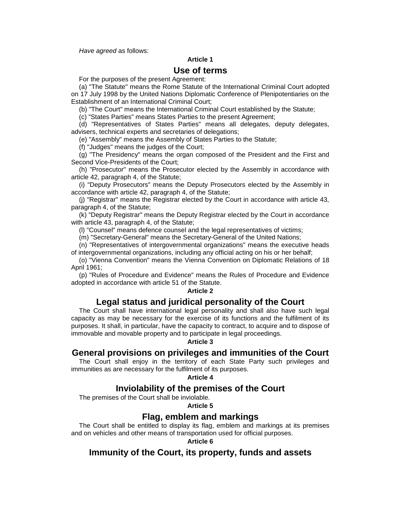*Have agreed* as follows:

### **Article 1**

### **Use of terms**

For the purposes of the present Agreement:

(a) "The Statute" means the Rome Statute of the International Criminal Court adopted on 17 July 1998 by the United Nations Diplomatic Conference of Plenipotentiaries on the Establishment of an International Criminal Court;

(b) "The Court" means the International Criminal Court established by the Statute;

(c) "States Parties" means States Parties to the present Agreement;

(d) "Representatives of States Parties" means all delegates, deputy delegates, advisers, technical experts and secretaries of delegations;

(e) "Assembly" means the Assembly of States Parties to the Statute;

(f) "Judges" means the judges of the Court;

(g) "The Presidency" means the organ composed of the President and the First and Second Vice-Presidents of the Court;

(h) "Prosecutor" means the Prosecutor elected by the Assembly in accordance with article 42, paragraph 4, of the Statute;

(i) "Deputy Prosecutors" means the Deputy Prosecutors elected by the Assembly in accordance with article 42, paragraph 4, of the Statute;

(j) "Registrar" means the Registrar elected by the Court in accordance with article 43, paragraph 4, of the Statute;

(k) "Deputy Registrar" means the Deputy Registrar elected by the Court in accordance with article 43, paragraph 4, of the Statute;

(l) "Counsel" means defence counsel and the legal representatives of victims;

(m) "Secretary-General" means the Secretary-General of the United Nations;

(n) "Representatives of intergovernmental organizations" means the executive heads of intergovernmental organizations, including any official acting on his or her behalf;

(o) "Vienna Convention" means the Vienna Convention on Diplomatic Relations of 18 April 1961;

(p) "Rules of Procedure and Evidence" means the Rules of Procedure and Evidence adopted in accordance with article 51 of the Statute.

#### **Article 2**

### **Legal status and juridical personality of the Court**

The Court shall have international legal personality and shall also have such legal capacity as may be necessary for the exercise of its functions and the fulfilment of its purposes. It shall, in particular, have the capacity to contract, to acquire and to dispose of immovable and movable property and to participate in legal proceedings.

#### **Article 3**

### **General provisions on privileges and immunities of the Court**

The Court shall enjoy in the territory of each State Party such privileges and immunities as are necessary for the fulfilment of its purposes.

**Article 4**

### **Inviolability of the premises of the Court**

The premises of the Court shall be inviolable.

**Article 5**

### **Flag, emblem and markings**

The Court shall be entitled to display its flag, emblem and markings at its premises and on vehicles and other means of transportation used for official purposes.

**Article 6**

### **Immunity of the Court, its property, funds and assets**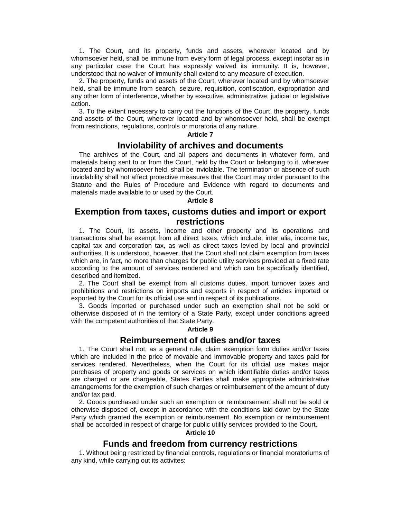1. The Court, and its property, funds and assets, wherever located and by whomsoever held, shall be immune from every form of legal process, except insofar as in any particular case the Court has expressly waived its immunity. It is, however, understood that no waiver of immunity shall extend to any measure of execution.

2. The property, funds and assets of the Court, wherever located and by whomsoever held, shall be immune from search, seizure, requisition, confiscation, expropriation and any other form of interference, whether by executive, administrative, judicial or legislative action.

3. To the extent necessary to carry out the functions of the Court, the property, funds and assets of the Court, wherever located and by whomsoever held, shall be exempt from restrictions, regulations, controls or moratoria of any nature.

#### **Article 7**

### **Inviolability of archives and documents**

The archives of the Court, and all papers and documents in whatever form, and materials being sent to or from the Court, held by the Court or belonging to it, wherever located and by whomsoever held, shall be inviolable. The termination or absence of such inviolability shall not affect protective measures that the Court may order pursuant to the Statute and the Rules of Procedure and Evidence with regard to documents and materials made available to or used by the Court.

#### **Article 8**

# **Exemption from taxes, customs duties and import or export restrictions**

1. The Court, its assets, income and other property and its operations and transactions shall be exempt from all direct taxes, which include, inter alia, income tax, capital tax and corporation tax, as well as direct taxes levied by local and provincial authorities. It is understood, however, that the Court shall not claim exemption from taxes which are, in fact, no more than charges for public utility services provided at a fixed rate according to the amount of services rendered and which can be specifically identified, described and itemized.

2. The Court shall be exempt from all customs duties, import turnover taxes and prohibitions and restrictions on imports and exports in respect of articles imported or exported by the Court for its official use and in respect of its publications.

3. Goods imported or purchased under such an exemption shall not be sold or otherwise disposed of in the territory of a State Party, except under conditions agreed with the competent authorities of that State Party.

#### **Article 9**

### **Reimbursement of duties and/or taxes**

1. The Court shall not, as a general rule, claim exemption form duties and/or taxes which are included in the price of movable and immovable property and taxes paid for services rendered. Nevertheless, when the Court for its official use makes major purchases of property and goods or services on which identifiable duties and/or taxes are charged or are chargeable, States Parties shall make appropriate administrative arrangements for the exemption of such charges or reimbursement of the amount of duty and/or tax paid.

2. Goods purchased under such an exemption or reimbursement shall not be sold or otherwise disposed of, except in accordance with the conditions laid down by the State Party which granted the exemption or reimbursement. No exemption or reimbursement shall be accorded in respect of charge for public utility services provided to the Court.

#### **Article 10**

# **Funds and freedom from currency restrictions**

1. Without being restricted by financial controls, regulations or financial moratoriums of any kind, while carrying out its activites: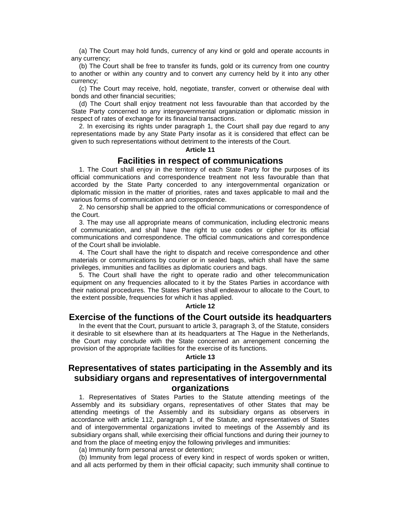(a) The Court may hold funds, currency of any kind or gold and operate accounts in any currency;

(b) The Court shall be free to transfer its funds, gold or its currency from one country to another or within any country and to convert any currency held by it into any other currency;

(c) The Court may receive, hold, negotiate, transfer, convert or otherwise deal with bonds and other financial securities;

(d) The Court shall enjoy treatment not less favourable than that accorded by the State Party concerned to any intergovernmental organization or diplomatic mission in respect of rates of exchange for its financial transactions.

2. In exercising its rights under paragraph 1, the Court shall pay due regard to any representations made by any State Party insofar as it is considered that effect can be given to such representations without detriment to the interests of the Court.

#### **Article 11**

### **Facilities in respect of communications**

1. The Court shall enjoy in the territory of each State Party for the purposes of its official communications and correspondence treatment not less favourable than that accorded by the State Party concerded to any intergovernmental organization or diplomatic mission in the matter of priorities, rates and taxes applicable to mail and the various forms of communication and correspondence.

2. No censorship shall be appried to the official communications or correspondence of the Court.

3. The may use all appropriate means of communication, including electronic means of communication, and shall have the right to use codes or cipher for its official communications and correspondence. The official communications and correspondence of the Court shall be inviolable.

4. The Court shall have the right to dispatch and receive correspondence and other materials or communications by courier or in sealed bags, which shall have the same privileges, immunities and facilities as diplomatic couriers and bags.

5. The Court shall have the right to operate radio and other telecommunication equipment on any frequencies allocated to it by the States Parties in accordance with their national procedures. The States Parties shall endeavour to allocate to the Court, to the extent possible, frequencies for which it has applied.

#### **Article 12**

### **Exercise of the functions of the Court outside its headquarters**

In the event that the Court, pursuant to article 3, paragraph 3, of the Statute, considers it desirable to sit elsewhere than at its headquarters at The Hague in the Netherlands, the Court may conclude with the State concerned an arrengement concerning the provision of the appropriate facilities for the exercise of its functions.

#### **Article 13**

# **Representatives of states participating in the Assembly and its subsidiary organs and representatives of intergovernmental organizations**

1. Representatives of States Parties to the Statute attending meetings of the Assembly and its subsidiary organs, representatives of other States that may be attending meetings of the Assembly and its subsidiary organs as observers in accordance with article 112, paragraph 1, of the Statute, and representatives of States and of intergovernmental organizations invited to meetings of the Assembly and its subsidiary organs shall, while exercising their official functions and during their journey to and from the place of meeting enjoy the following privileges and immunities:

(a) Immunity form personal arrest or detention;

(b) Immunity from legal process of every kind in respect of words spoken or written, and all acts performed by them in their official capacity; such immunity shall continue to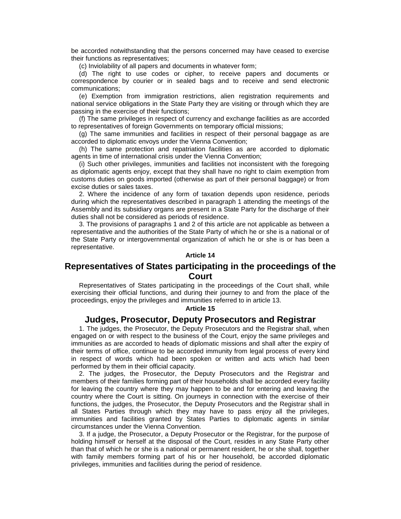be accorded notwithstanding that the persons concerned may have ceased to exercise their functions as representatives;

(c) Inviolability of all papers and documents in whatever form;

(d) The right to use codes or cipher, to receive papers and documents or correspondence by courier or in sealed bags and to receive and send electronic communications;

(e) Exemption from immigration restrictions, alien registration requirements and national service obligations in the State Party they are visiting or through which they are passing in the exercise of their functions;

(f) The same privileges in respect of currency and exchange facilities as are accorded to representatives of foreign Governments on temporary official missions;

(g) The same immunities and facilities in respect of their personal baggage as are accorded to diplomatic envoys under the Vienna Convention;

(h) The same protection and repatriation facilities as are accorded to diplomatic agents in time of international crisis under the Vienna Convention;

(i) Such other privileges, immunities and facilities not inconsistent with the foregoing as diplomatic agents enjoy, except that they shall have no right to claim exemption from customs duties on goods imported (otherwise as part of their personal baggage) or from excise duties or sales taxes.

2. Where the incidence of any form of taxation depends upon residence, periods during which the representatives described in paragraph 1 attending the meetings of the Assembly and its subsidiary organs are present in a State Party for the discharge of their duties shall not be considered as periods of residence.

3. The provisions of paragraphs 1 and 2 of this article are not applicable as between a representative and the authorities of the State Party of which he or she is a national or of the State Party or intergovernmental organization of which he or she is or has been a representative.

#### **Article 14**

# **Representatives of States participating in the proceedings of the Court**

Representatives of States participating in the proceedings of the Court shall, while exercising their official functions, and during their journey to and from the place of the proceedings, enjoy the privileges and immunities referred to in article 13.

#### **Article 15**

#### **Judges, Prosecutor, Deputy Prosecutors and Registrar**

1. The judges, the Prosecutor, the Deputy Prosecutors and the Registrar shall, when engaged on or with respect to the business of the Court, enjoy the same privileges and immunities as are accorded to heads of diplomatic missions and shall after the expiry of their terms of office, continue to be accorded immunity from legal process of every kind in respect of words which had been spoken or written and acts which had been performed by them in their official capacity.

2. The judges, the Prosecutor, the Deputy Prosecutors and the Registrar and members of their families forming part of their households shall be accorded every facility for leaving the country where they may happen to be and for entering and leaving the country where the Court is sitting. On journeys in connection with the exercise of their functions, the judges, the Prosecutor, the Deputy Prosecutors and the Registrar shall in all States Parties through which they may have to pass enjoy all the privileges, immunities and facilities granted by States Parties to diplomatic agents in similar circumstances under the Vienna Convention.

3. If a judge, the Prosecutor, a Deputy Prosecutor or the Registrar, for the purpose of holding himself or herself at the disposal of the Court, resides in any State Party other than that of which he or she is a national or permanent resident, he or she shall, together with family members forming part of his or her household, be accorded diplomatic privileges, immunities and facilities during the period of residence.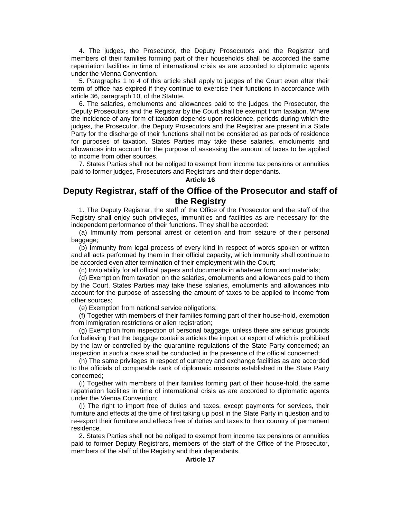4. The judges, the Prosecutor, the Deputy Prosecutors and the Registrar and members of their families forming part of their households shall be accorded the same repatriation facilities in time of international crisis as are accorded to diplomatic agents under the Vienna Convention.

5. Paragraphs 1 to 4 of this article shall apply to judges of the Court even after their term of office has expired if they continue to exercise their functions in accordance with article 36, paragraph 10, of the Statute.

6. The salaries, emoluments and allowances paid to the judges, the Prosecutor, the Deputy Prosecutors and the Registrar by the Court shall be exempt from taxation. Where the incidence of any form of taxation depends upon residence, periods during which the judges, the Prosecutor, the Deputy Prosecutors and the Registrar are present in a State Party for the discharge of their functions shall not be considered as periods of residence for purposes of taxation. States Parties may take these salaries, emoluments and allowances into account for the purpose of assessing the amount of taxes to be applied to income from other sources.

7. States Parties shall not be obliged to exempt from income tax pensions or annuities paid to former judges, Prosecutors and Registrars and their dependants.

### **Article 16**

# **Deputy Registrar, staff of the Office of the Prosecutor and staff of the Registry**

1. The Deputy Registrar, the staff of the Office of the Prosecutor and the staff of the Registry shall enjoy such privileges, immunities and facilities as are necessary for the independent performance of their functions. They shall be accorded:

(a) Immunity from personal arrest or detention and from seizure of their personal baggage;

(b) Immunity from legal process of every kind in respect of words spoken or written and all acts performed by them in their official capacity, which immunity shall continue to be accorded even after termination of their employment with the Court;

(c) Inviolability for all official papers and documents in whatever form and materials;

(d) Exemption from taxation on the salaries, emoluments and allowances paid to them by the Court. States Parties may take these salaries, emoluments and allowances into account for the purpose of assessing the amount of taxes to be applied to income from other sources;

(e) Exemption from national service obligations;

(f) Together with members of their families forming part of their house-hold, exemption from immigration restrictions or alien registration;

(g) Exemption from inspection of personal baggage, unless there are serious grounds for believing that the baggage contains articles the import or export of which is prohibited by the law or controlled by the quarantine regulations of the State Party concerned; an inspection in such a case shall be conducted in the presence of the official concerned;

(h) The same privileges in respect of currency and exchange facilities as are accorded to the officials of comparable rank of diplomatic missions established in the State Party concerned;

(i) Together with members of their families forming part of their house-hold, the same repatriation facilities in time of international crisis as are accorded to diplomatic agents under the Vienna Convention;

(j) The right to import free of duties and taxes, except payments for services, their furniture and effects at the time of first taking up post in the State Party in question and to re-export their furniture and effects free of duties and taxes to their country of permanent residence.

2. States Parties shall not be obliged to exempt from income tax pensions or annuities paid to former Deputy Registrars, members of the staff of the Office of the Prosecutor, members of the staff of the Registry and their dependants.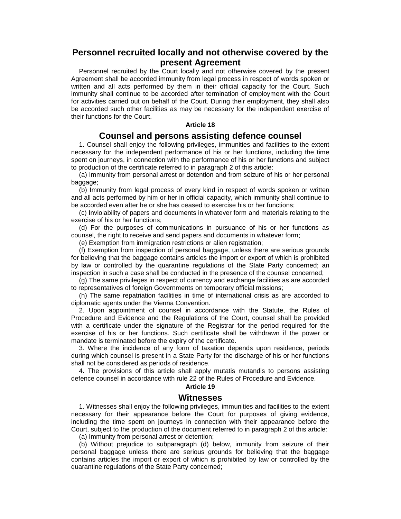# **Personnel recruited locally and not otherwise covered by the present Agreement**

Personnel recruited by the Court locally and not otherwise covered by the present Agreement shall be accorded immunity from legal process in respect of words spoken or written and all acts performed by them in their official capacity for the Court. Such immunity shall continue to be accorded after termination of employment with the Court for activities carried out on behalf of the Court. During their employment, they shall also be accorded such other facilities as may be necessary for the independent exercise of their functions for the Court.

### **Article 18**

### **Counsel and persons assisting defence counsel**

1. Counsel shall enjoy the following privileges, immunities and facilities to the extent necessary for the independent performance of his or her functions, including the time spent on journeys, in connection with the performance of his or her functions and subject to production of the certificate referred to in paragraph 2 of this article:

(a) Immunity from personal arrest or detention and from seizure of his or her personal baggage;

(b) Immunity from legal process of every kind in respect of words spoken or written and all acts performed by him or her in official capacity, which immunity shall continue to be accorded even after he or she has ceased to exercise his or her functions;

(c) Inviolability of papers and documents in whatever form and materials relating to the exercise of his or her functions;

(d) For the purposes of communications in pursuance of his or her functions as counsel, the right to receive and send papers and documents in whatever form;

(e) Exemption from immigration restrictions or alien registration;

(f) Exemption from inspection of personal baggage, unless there are serious grounds for believing that the baggage contains articles the import or export of which is prohibited by law or controlled by the quarantine regulations of the State Party concerned; an inspection in such a case shall be conducted in the presence of the counsel concerned;

(g) The same privileges in respect of currency and exchange facilities as are accorded to representatives of foreign Governments on temporary official missions;

(h) The same repatriation facilities in time of international crisis as are accorded to diplomatic agents under the Vienna Convention.

2. Upon appointment of counsel in accordance with the Statute, the Rules of Procedure and Evidence and the Regulations of the Court, counsel shall be provided with a certificate under the signature of the Registrar for the period required for the exercise of his or her functions. Such certificate shall be withdrawn if the power or mandate is terminated before the expiry of the certificate.

3. Where the incidence of any form of taxation depends upon residence, periods during which counsel is present in a State Party for the discharge of his or her functions shall not be considered as periods of residence.

4. The provisions of this article shall apply mutatis mutandis to persons assisting defence counsel in accordance with rule 22 of the Rules of Procedure and Evidence.

### **Article 19**

#### **Witnesses**

1. Witnesses shall enjoy the following privileges, immunities and facilities to the extent necessary for their appearance before the Court for purposes of giving evidence, including the time spent on journeys in connection with their appearance before the Court, subject to the production of the document referred to in paragraph 2 of this article:

(a) Immunity from personal arrest or detention;

(b) Without prejudice to subparagraph (d) below, immunity from seizure of their personal baggage unless there are serious grounds for believing that the baggage contains articles the import or export of which is prohibited by law or controlled by the quarantine regulations of the State Party concerned;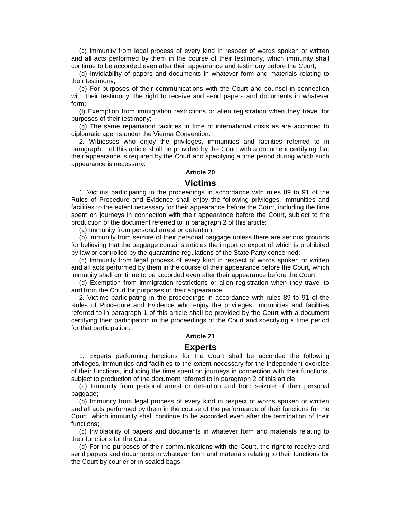(c) Immunity from legal process of every kind in respect of words spoken or written and all acts performed by them in the course of their testimony, which immunity shall continue to be accorded even after their appearance and testimony before the Court;

(d) Inviolability of papers and documents in whatever form and materials relating to their testimony;

(e) For purposes of their communications with the Court and counsel in connection with their testimony, the right to receive and send papers and documents in whatever form;

(f) Exemption from immigration restrictions or alien registration when they travel for purposes of their testimony;

(g) The same repatriation facilities in time of international crisis as are accorded to diplomatic agents under the Vienna Convention.

2. Witnesses who enjoy the privileges, immunities and facilities referred to in paragraph 1 of this article shall be provided by the Court with a document certifying that their appearance is required by the Court and specifying a time period during which such appearance is necessary.

#### **Article 20**

### **Victims**

1. Victims participating in the proceedings in accordance with rules 89 to 91 of the Rules of Procedure and Evidence shall enjoy the following privileges, immunities and facilities to the extent necessary for their appearance before the Court, including the time spent on journeys in connection with their appearance before the Court, subject to the production of the document referred to in paragraph 2 of this article:

(a) Immunity from personal arrest or detention;

(b) Immunity from seizure of their personal baggage unless there are serious grounds for believing that the baggage contains articles the import or export of which is prohibited by law or controlled by the quarantine regulations of the State Party concerned;

(c) Immunity from legal process of every kind in respect of words spoken or written and all acts performed by them in the course of their appearance before the Court, which immunity shall continue to be accorded even after their appearance before the Court;

(d) Exemption from immigration restrictions or alien registration when they travel to and from the Court for purposes of their appearance.

2. Victims participating in the proceedings in accordance with rules 89 to 91 of the Rules of Procedure and Evidence who enjoy the privileges, immunities and facilities referred to in paragraph 1 of this article shall be provided by the Court with a document certifying their participation in the proceedings of the Court and specifying a time period for that participation.

#### **Article 21**

#### **Experts**

1. Experts performing functions for the Court shall be accorded the following privileges, immunities and facilities to the extent necessary for the independent exercise of their functions, including the time spent on journeys in connection with their functions, subject to production of the document referred to in paragraph 2 of this article:

(a) Immunity from personal arrest or detention and from seizure of their personal baggage;

(b) Immunity from legal process of every kind in respect of words spoken or written and all acts performed by them in the course of the performance of their functions for the Court, which immunity shall continue to be accorded even after the termination of their functions;

(c) Inviolability of papers and documents in whatever form and materials relating to their functions for the Court;

(d) For the purposes of their communications with the Court, the right to receive and send papers and documents in whatever form and materials relating to their functions for the Court by courier or in sealed bags;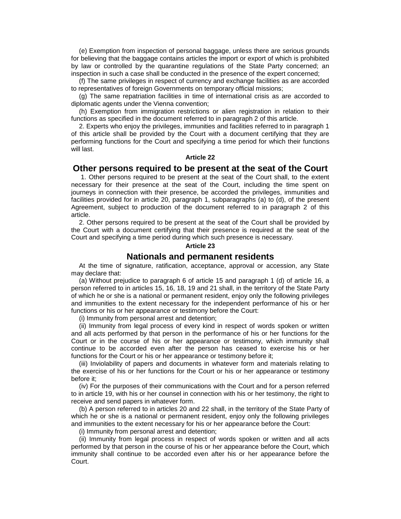(e) Exemption from inspection of personal baggage, unless there are serious grounds for believing that the baggage contains articles the import or export of which is prohibited by law or controlled by the quarantine regulations of the State Party concerned; an inspection in such a case shall be conducted in the presence of the expert concerned;

(f) The same privileges in respect of currency and exchange facilities as are accorded to representatives of foreign Governments on temporary official missions;

(g) The same repatriation facilities in time of international crisis as are accorded to diplomatic agents under the Vienna convention;

(h) Exemption from immigration restrictions or alien registration in relation to their functions as specified in the document referred to in paragraph 2 of this article.

2. Experts who enjoy the privileges, immunities and facilities referred to in paragraph 1 of this article shall be provided by the Court with a document certifying that they are performing functions for the Court and specifying a time period for which their functions will last.

#### **Article 22**

#### **Other persons required to be present at the seat of the Court**

1. Other persons required to be present at the seat of the Court shall, to the extent necessary for their presence at the seat of the Court, including the time spent on journeys in connection with their presence, be accorded the privileges, immunities and facilities provided for in article 20, paragraph 1, subparagraphs (a) to (d), of the present Agreement, subject to production of the document referred to in paragraph 2 of this article.

2. Other persons required to be present at the seat of the Court shall be provided by the Court with a document certifying that their presence is required at the seat of the Court and specifying a time period during which such presence is necessary.

#### **Article 23**

### **Nationals and permanent residents**

At the time of signature, ratification, acceptance, approval or accession, any State may declare that:

(a) Without prejudice to paragraph 6 of article 15 and paragraph 1 (d) of article 16, a person referred to in articles 15, 16, 18, 19 and 21 shall, in the territory of the State Party of which he or she is a national or permanent resident, enjoy only the following privileges and immunities to the extent necessary for the independent performance of his or her functions or his or her appearance or testimony before the Court:

(i) Immunity from personal arrest and detention;

(ii) Immunity from legal process of every kind in respect of words spoken or written and all acts performed by that person in the performance of his or her functions for the Court or in the course of his or her appearance or testimony, which immunity shall continue to be accorded even after the person has ceased to exercise his or her functions for the Court or his or her appearance or testimony before it;

(iii) Inviolability of papers and documents in whatever form and materials relating to the exercise of his or her functions for the Court or his or her appearance or testimony before it;

(iv) For the purposes of their communications with the Court and for a person referred to in article 19, with his or her counsel in connection with his or her testimony, the right to receive and send papers in whatever form.

(b) A person referred to in articles 20 and 22 shall, in the territory of the State Party of which he or she is a national or permanent resident, enjoy only the following privileges and immunities to the extent necessary for his or her appearance before the Court:

(i) Immunity from personal arrest and detention;

(ii) Immunity from legal process in respect of words spoken or written and all acts performed by that person in the course of his or her appearance before the Court, which immunity shall continue to be accorded even after his or her appearance before the Court.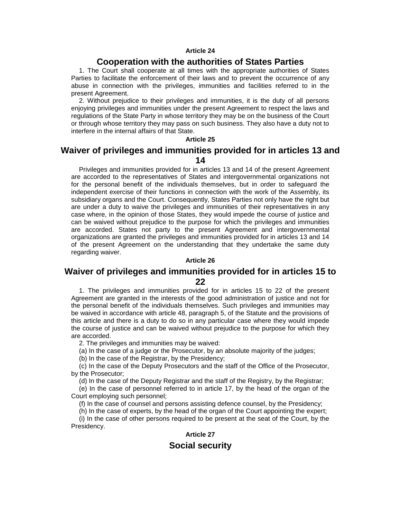#### **Article 24**

### **Cooperation with the authorities of States Parties**

1. The Court shall cooperate at all times with the appropriate authorities of States Parties to facilitate the enforcement of their laws and to prevent the occurrence of any abuse in connection with the privileges, immunities and facilities referred to in the present Agreement.

2. Without prejudice to their privileges and immunities, it is the duty of all persons enjoying privileges and immunities under the present Agreement to respect the laws and regulations of the State Party in whose territory they may be on the business of the Court or through whose territory they may pass on such business. They also have a duty not to interfere in the internal affairs of that State.

#### **Article 25**

# **Waiver of privileges and immunities provided for in articles 13 and 14**

Privileges and immunities provided for in articles 13 and 14 of the present Agreement are accorded to the representatives of States and intergovernmental organizations not for the personal benefit of the individuals themselves, but in order to safeguard the independent exercise of their functions in connection with the work of the Assembly, its subsidiary organs and the Court. Consequently, States Parties not only have the right but are under a duty to waive the privileges and immunities of their representatives in any case where, in the opinion of those States, they would impede the course of justice and can be waived without prejudice to the purpose for which the privileges and immunities are accorded. States not party to the present Agreement and intergovernmental organizations are granted the privileges and immunities provided for in articles 13 and 14 of the present Agreement on the understanding that they undertake the same duty regarding waiver.

#### **Article 26**

# **Waiver of privileges and immunities provided for in articles 15 to 22**

1. The privileges and immunities provided for in articles 15 to 22 of the present Agreement are granted in the interests of the good administration of justice and not for the personal benefit of the individuals themselves. Such privileges and immunities may be waived in accordance with article 48, paragraph 5, of the Statute and the provisions of this article and there is a duty to do so in any particular case where they would impede the course of justice and can be waived without prejudice to the purpose for which they are accorded.

2. The privileges and immunities may be waived:

(a) In the case of a judge or the Prosecutor, by an absolute majority of the judges;

(b) In the case of the Registrar, by the Presidency;

(c) In the case of the Deputy Prosecutors and the staff of the Office of the Prosecutor, by the Prosecutor;

(d) In the case of the Deputy Registrar and the staff of the Registry, by the Registrar;

(e) In the case of personnel referred to in article 17, by the head of the organ of the Court employing such personnel;

(f) In the case of counsel and persons assisting defence counsel, by the Presidency;

(h) In the case of experts, by the head of the organ of the Court appointing the expert;

(i) In the case of other persons required to be present at the seat of the Court, by the Presidency.

### **Article 27**

# **Social security**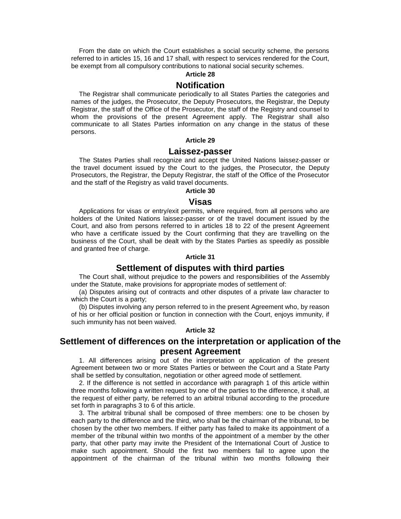From the date on which the Court establishes a social security scheme, the persons referred to in articles 15, 16 and 17 shall, with respect to services rendered for the Court, be exempt from all compulsory contributions to national social security schemes.

### **Article 28**

### **Notification**

The Registrar shall communicate periodically to all States Parties the categories and names of the judges, the Prosecutor, the Deputy Prosecutors, the Registrar, the Deputy Registrar, the staff of the Office of the Prosecutor, the staff of the Registry and counsel to whom the provisions of the present Agreement apply. The Registrar shall also communicate to all States Parties information on any change in the status of these persons.

### **Article 29**

#### **Laissez-passer**

The States Parties shall recognize and accept the United Nations laissez-passer or the travel document issued by the Court to the judges, the Prosecutor, the Deputy Prosecutors, the Registrar, the Deputy Registrar, the staff of the Office of the Prosecutor and the staff of the Registry as valid travel documents.

### **Article 30**

#### **Visas**

Applications for visas or entry/exit permits, where required, from all persons who are holders of the United Nations laissez-passer or of the travel document issued by the Court, and also from persons referred to in articles 18 to 22 of the present Agreement who have a certificate issued by the Court confirming that they are travelling on the business of the Court, shall be dealt with by the States Parties as speedily as possible and granted free of charge.

#### **Article 31**

# **Settlement of disputes with third parties**

The Court shall, without prejudice to the powers and responsibilities of the Assembly under the Statute, make provisions for appropriate modes of settlement of:

(a) Disputes arising out of contracts and other disputes of a private law character to which the Court is a party;

(b) Disputes involving any person referred to in the present Agreement who, by reason of his or her official position or function in connection with the Court, enjoys immunity, if such immunity has not been waived.

#### **Article 32**

# **Settlement of differences on the interpretation or application of the present Agreement**

1. All differences arising out of the interpretation or application of the present Agreement between two or more States Parties or between the Court and a State Party shall be settled by consultation, negotiation or other agreed mode of settlement.

2. If the difference is not settled in accordance with paragraph 1 of this article within three months following a written request by one of the parties to the difference, it shall, at the request of either party, be referred to an arbitral tribunal according to the procedure set forth in paragraphs 3 to 6 of this article.

3. The arbitral tribunal shall be composed of three members: one to be chosen by each party to the difference and the third, who shall be the chairman of the tribunal, to be chosen by the other two members. If either party has failed to make its appointment of a member of the tribunal within two months of the appointment of a member by the other party, that other party may invite the President of the International Court of Justice to make such appointment. Should the first two members fail to agree upon the appointment of the chairman of the tribunal within two months following their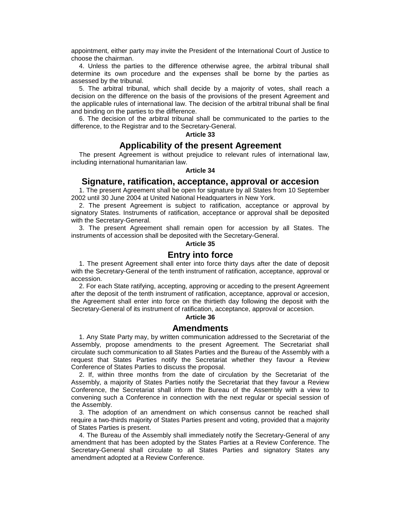appointment, either party may invite the President of the International Court of Justice to choose the chairman.

4. Unless the parties to the difference otherwise agree, the arbitral tribunal shall determine its own procedure and the expenses shall be borne by the parties as assessed by the tribunal.

5. The arbitral tribunal, which shall decide by a majority of votes, shall reach a decision on the difference on the basis of the provisions of the present Agreement and the applicable rules of international law. The decision of the arbitral tribunal shall be final and binding on the parties to the difference.

6. The decision of the arbitral tribunal shall be communicated to the parties to the difference, to the Registrar and to the Secretary-General.

#### **Article 33**

### **Applicability of the present Agreement**

The present Agreement is without prejudice to relevant rules of international law, including international humanitarian law.

#### **Article 34**

# **Signature, ratification, acceptance, approval or accesion**

1. The present Agreement shall be open for signature by all States from 10 September 2002 until 30 June 2004 at United National Headquarters in New York.

2. The present Agreement is subject to ratification, acceptance or approval by signatory States. Instruments of ratification, acceptance or approval shall be deposited with the Secretary-General.

3. The present Agreement shall remain open for accession by all States. The instruments of accession shall be deposited with the Secretary-General.

#### **Article 35**

### **Entry into force**

1. The present Agreement shall enter into force thirty days after the date of deposit with the Secretary-General of the tenth instrument of ratification, acceptance, approval or accession.

2. For each State ratifying, accepting, approving or acceding to the present Agreement after the deposit of the tenth instrument of ratification, acceptance, approval or accesion, the Agreement shall enter into force on the thirtieth day following the deposit with the Secretary-General of its instrument of ratification, acceptance, approval or accesion.

### **Article 36**

#### **Amendments**

1. Any State Party may, by written communication addressed to the Secretariat of the Assembly, propose amendments to the present Agreement. The Secretariat shall circulate such communication to all States Parties and the Bureau of the Assembly with a request that States Parties notify the Secretariat whether they favour a Review Conference of States Parties to discuss the proposal.

2. If, within three months from the date of circulation by the Secretariat of the Assembly, a majority of States Parties notify the Secretariat that they favour a Review Conference, the Secretariat shall inform the Bureau of the Assembly with a view to convening such a Conference in connection with the next regular or special session of the Assembly.

3. The adoption of an amendment on which consensus cannot be reached shall require a two-thirds majority of States Parties present and voting, provided that a majority of States Parties is present.

4. The Bureau of the Assembly shall immediately notify the Secretary-General of any amendment that has been adopted by the States Parties at a Review Conference. The Secretary-General shall circulate to all States Parties and signatory States any amendment adopted at a Review Conference.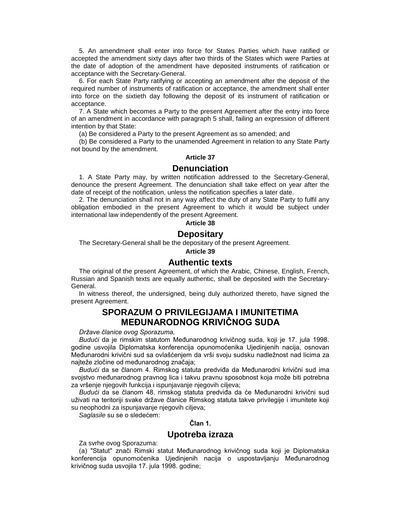5. An amendment shall enter into force for States Parties which have ratified or accepted the amendment sixty days after two thirds of the States which were Parties at the date of adoption of the amendment have deposited instruments of ratification or acceptance with the Secretary-General.

6. For each State Party ratifying or accepting an amendment after the deposit of the required number of instruments of ratification or acceptance, the amendment shall enter into force on the sixtieth day following the deposit of its instrument of ratification or acceptance.

7. A State which becomes a Party to the present Agreement after the entry into force of an amendment in accordance with paragraph 5 shall, failing an expression of different intention by that State:

(a) Be considered a Party to the present Agreement as so amended; and

(b) Be considered a Party to the unamended Agreement in relation to any State Party not bound by the amendment.

#### **Article 37**

### **Denunciation**

1. A State Party may, by written notification addressed to the Secretary-General, denounce the present Agreement. The denunciation shall take effect on year after the date of receipt of the notification, unless the notification specifies a later date.

2. The denunciation shall not in any way affect the duty of any State Party to fulfil any obligation embodied in the present Agreement to which it would be subject under international law independently of the present Agreement.

#### **Article 38**

### **Depositary**

The Secretary-General shall be the depositary of the present Agreement.

**Article 39**

#### **Authentic texts**

The original of the present Agreement, of which the Arabic, Chinese, English, French, Russian and Spanish texts are equally authentic, shall be deposited with the Secretary-General.

In witness thereof, the undersigned, being duly authorized thereto, have signed the present Agreement.

# **SPORAZUM O PRIVILEGIJAMA I IMUNITETIMA MEĐUNARODNOG KRIVIČNOG SUDA**

*Države članice ovog Sporazuma,*

*Budući* da je rimskim statutom Međunarodnog krivičnog suda, koji je 17. jula 1998. godine usvojila Diplomatska konferencija opunomoćenika Ujedinjenih nacija, osnovan Međunarodni krivični sud sa ovlašćenjem da vrši svoju sudsku nadležnost nad licima za najteže zločine od međunarodnog značaja;

*Budući* da se članom 4. Rimskog statuta predviđa da Međunarodni krivični sud ima svojstvo međunarodnog pravnog lica i takvu pravnu sposobnost koja može biti potrebna za vršenje njegovih funkcija i ispunjavanje njegovih ciljeva;

*Budući* da se članom 48. rimskog statuta predviđa da će Međunarodni krivični sud uživati na teritoriji svake države članice Rimskog statuta takve privilegije i imunitete koji su neophodni za ispunjavanje njegovih ciljeva;

*Saglasile* su se o sledećem:

### **Član 1.**

### **Upotreba izraza**

Za svrhe ovog Sporazuma:

(a) "Statut" znači Rimski statut Međunarodnog krivičnog suda koji je Diplomatska konferencija opunomoćenika Ujedinjenih nacija o uspostavljanju Međunarodnog krivičnog suda usvojila 17. jula 1998. godine;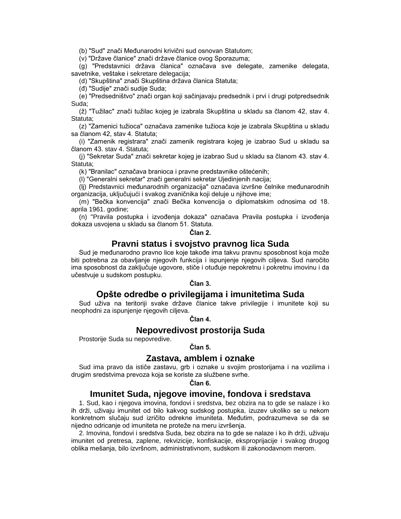(b) "Sud" znači Međunarodni krivični sud osnovan Statutom;

(v) "Države članice" znači države članice ovog Sporazuma;

(g) "Predstavnici država članica" označava sve delegate, zamenike delegata, savetnike, veštake i sekretare delegacija;

(d) "Skupština" znači Skupština država članica Statuta;

(đ) "Sudije" znači sudije Suda;

(e) "Predsedništvo" znači organ koji sačinjavaju predsednik i prvi i drugi potpredsednik Suda;

(ž) "Tužilac" znači tužilac kojeg je izabrala Skupština u skladu sa članom 42, stav 4. Statuta;

(z) "Zamenici tužioca" označava zamenike tužioca koje je izabrala Skupština u skladu sa članom 42, stav 4. Statuta;

(i) "Zamenik registrara" znači zamenik registrara kojeg je izabrao Sud u skladu sa članom 43. stav 4. Statuta;

(j) "Sekretar Suda" znači sekretar kojeg je izabrao Sud u skladu sa članom 43. stav 4. Statuta;

(k) "Branilac" označava branioca i pravne predstavnike oštećenih;

(l) "Generalni sekretar" znači generalni sekretar Ujedinjenih nacija;

(lj) Predstavnici međunarodnih organizacija" označava izvršne čelnike međunarodnih organizacija, uključujući i svakog zvaničnika koji deluje u njihove ime;

(m) "Bečka konvencija" znači Bečka konvencija o diplomatskim odnosima od 18. aprila 1961. godine;

(n) "Pravila postupka i izvođenja dokaza" označava Pravila postupka i izvođenja dokaza usvojena u skladu sa članom 51. Statuta.

#### **Član 2.**

### **Pravni status i svojstvo pravnog lica Suda**

Sud je međunarodno pravno lice koje takođe ima takvu pravnu sposobnost koja može biti potrebna za obavljanje njegovih funkcija i ispunjenje njegovih ciljeva. Sud naročito ima sposobnost da zaključuje ugovore, stiče i otuđuje nepokretnu i pokretnu imovinu i da učestvuje u sudskom postupku.

#### **Član 3.**

# **Opšte odredbe o privilegijama i imunitetima Suda**

Sud uživa na teritoriji svake države članice takve privilegije i imunitete koji su neophodni za ispunjenje njegovih ciljeva.

### **Član 4.**

# **Nepovredivost prostorija Suda**

Prostorije Suda su nepovredive.

### **Član 5.**

### **Zastava, amblem i oznake**

Sud ima pravo da ističe zastavu, grb i oznake u svojim prostorijama i na vozilima i drugim sredstvima prevoza koja se koriste za službene svrhe.

#### **Član 6.**

# **Imunitet Suda, njegove imovine, fondova i sredstava**

1. Sud, kao i njegova imovina, fondovi i sredstva, bez obzira na to gde se nalaze i ko ih drži, uživaju imunitet od bilo kakvog sudskog postupka, izuzev ukoliko se u nekom konkretnom slučaju sud izričito odrekne imuniteta. Međutim, podrazumeva se da se nijedno odricanje od imuniteta ne proteže na meru izvršenja.

2. Imovina, fondovi i sredstva Suda, bez obzira na to gde se nalaze i ko ih drži, uživaju imunitet od pretresa, zaplene, rekvizicije, konfiskacije, eksproprijacije i svakog drugog oblika mešanja, bilo izvršnom, administrativnom, sudskom ili zakonodavnom merom.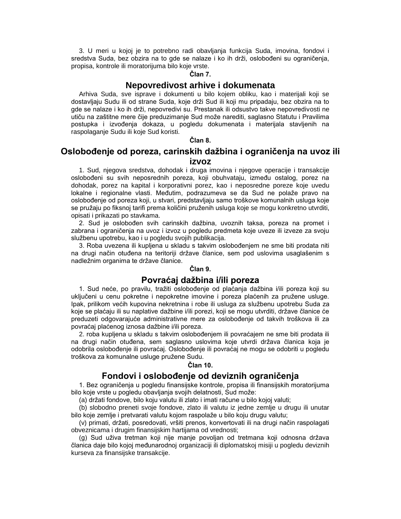3. U meri u kojoj je to potrebno radi obavljanja funkcija Suda, imovina, fondovi i sredstva Suda, bez obzira na to gde se nalaze i ko ih drži, oslobođeni su ograničenja, propisa, kontrole ili moratorijuma bilo koje vrste.

### **Član 7.**

# **Nepovredivost arhive i dokumenata**

Arhiva Suda, sve isprave i dokumenti u bilo kojem obliku, kao i materijali koji se dostavljaju Sudu ili od strane Suda, koje drži Sud ili koji mu pripadaju, bez obzira na to gde se nalaze i ko ih drži, nepovredivi su. Prestanak ili odsustvo takve nepovredivosti ne utiču na zaštitne mere čije preduzimanje Sud može narediti, saglasno Statutu i Pravilima postupka i izvođenja dokaza, u pogledu dokumenata i materijala stavljenih na raspolaganje Sudu ili koje Sud koristi.

### **Član 8.**

# **Oslobođenje od poreza, carinskih dažbina i ograničenja na uvoz ili izvoz**

1. Sud, njegova sredstva, dohodak i druga imovina i njegove operacije i transakcije oslobođeni su svih neposrednih poreza, koji obuhvataju, između ostalog, porez na dohodak, porez na kapital i korporativni porez, kao i neposredne poreze koje uvedu lokalne i regionalne vlasti. Međutim, podrazumeva se da Sud ne polaže pravo na oslobođenje od poreza koji, u stvari, predstavljaju samo troškove komunalnih usluga koje se pružaju po fiksnoj tarifi prema količini pruženih usluga koje se mogu konkretno utvrditi, opisati i prikazati po stavkama.

2. Sud je oslobođen svih carinskih dažbina, uvoznih taksa, poreza na promet i zabrana i ograničenja na uvoz i izvoz u pogledu predmeta koje uveze ili izveze za svoju službenu upotrebu, kao i u pogledu svojih publikacija.

3. Roba uvezena ili kupljena u skladu s takvim oslobođenjem ne sme biti prodata niti na drugi način otuđena na teritoriji države članice, sem pod uslovima usaglašenim s nadležnim organima te države članice.

#### **Član 9.**

### **Povraćaj dažbina i/ili poreza**

1. Sud neće, po pravilu, tražiti oslobođenje od plaćanja dažbina i/ili poreza koji su uključeni u cenu pokretne i nepokretne imovine i poreza plaćenih za pružene usluge. Ipak, prilikom većih kupovina nekretnina i robe ili usluga za službenu upotrebu Suda za koje se plaćaju ili su naplative dažbine i/ili porezi, koji se mogu utvrditi, države članice će preduzeti odgovarajuće administrativne mere za oslobođenje od takvih troškova ili za povraćaj plaćenog iznosa dažbine i/ili poreza.

2. roba kupljena u skladu s takvim oslobođenjem ili povraćajem ne sme biti prodata ili na drugi način otuđena, sem saglasno uslovima koje utvrdi država članica koja je odobrila oslobođenje ili povraćaj. Oslobođenje ili povraćaj ne mogu se odobriti u pogledu troškova za komunalne usluge pružene Sudu.

#### **Član 10.**

### **Fondovi i oslobođenje od deviznih ograničenja**

1. Bez ograničenja u pogledu finansijske kontrole, propisa ili finansijskih moratorijuma bilo koje vrste u pogledu obavljanja svojih delatnosti, Sud može:

(a) držati fondove, bilo koju valutu ili zlato i imati račune u bilo kojoj valuti;

(b) slobodno preneti svoje fondove, zlato ili valutu iz jedne zemlje u drugu ili unutar bilo koje zemlje i pretvarati valutu kojom raspolaže u bilo koju drugu valutu;

(v) primati, držati, posredovati, vršiti prenos, konvertovati ili na drugi način raspolagati obveznicama i drugim finansijskim hartijama od vrednosti;

(g) Sud uživa tretman koji nije manje povoljan od tretmana koji odnosna država članica daje bilo kojoj međunarodnoj organizaciji ili diplomatskoj misiji u pogledu deviznih kurseva za finansijske transakcije.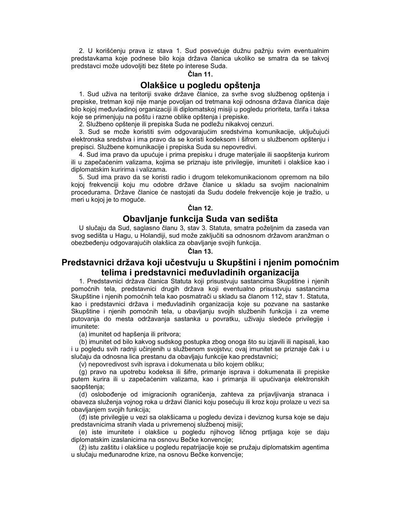2. U korišćenju prava iz stava 1. Sud posvećuje dužnu pažnju svim eventualnim predstavkama koje podnese bilo koja država članica ukoliko se smatra da se takvoj predstavci može udovoljiti bez štete po interese Suda.

### **Član 11.**

### **Olakšice u pogledu opštenja**

1. Sud uživa na teritoriji svake države članice, za svrhe svog službenog opštenja i prepiske, tretman koji nije manje povoljan od tretmana koji odnosna država članica daje bilo kojoj međuvladinoj organizaciji ili diplomatskoj misiji u pogledu prioriteta, tarifa i taksa koje se primenjuju na poštu i razne oblike opštenja i prepiske.

2. Službeno opštenje ili prepiska Suda ne podležu nikakvoj cenzuri.

3. Sud se može koristiti svim odgovarajućim sredstvima komunikacije, uključujući elektronska sredstva i ima pravo da se koristi kodeksom i šifrom u službenom opštenju i prepisci. Službene komunikacije i prepiska Suda su nepovredivi.

4. Sud ima pravo da upućuje i prima prepisku i druge materijale ili saopštenja kurirom ili u zapečaćenim valizama, kojima se priznaju iste privilegije, imuniteti i olakšice kao i diplomatskim kuririma i valizama.

5. Sud ima pravo da se koristi radio i drugom telekomunikacionom opremom na bilo kojoj frekvenciji koju mu odobre države članice u skladu sa svojim nacionalnim procedurama. Države članice će nastojati da Sudu dodele frekvencije koje je tražio, u meri u kojoj je to moguće.

#### **Član 12.**

# **Obavljanje funkcija Suda van sedišta**

U slučaju da Sud, saglasno članu 3, stav 3. Statuta, smatra poželjnim da zaseda van svog sedišta u Hagu, u Holandiji, sud može zaključiti sa odnosnom državom aranžman o obezbeđenju odgovarajućih olakšica za obavljanje svojih funkcija.

#### **Član 13.**

# **Predstavnici država koji učestvuju u Skupštini i njenim pomoćnim telima i predstavnici međuvladinih organizacija**

1. Predstavnici država članica Statuta koji prisustvuju sastancima Skupštine i njenih pomoćnih tela, predstavnici drugih država koji eventualno prisustvuju sastancima Skupštine i njenih pomoćnih tela kao posmatrači u skladu sa članom 112, stav 1. Statuta, kao i predstavnici država i međuvladinih organizacija koje su pozvane na sastanke Skupštine i njenih pomoćnih tela, u obavljanju svojih službenih funkcija i za vreme putovanja do mesta održavanja sastanka u povratku, uživaju sledeće privilegije i imunitete:

(a) imunitet od hapšenja ili pritvora;

(b) imunitet od bilo kakvog sudskog postupka zbog onoga što su izjavili ili napisali, kao i u pogledu svih radnji učinjenih u službenom svojstvu; ovaj imunitet se priznaje čak i u slučaju da odnosna lica prestanu da obavljaju funkcije kao predstavnici;

(v) nepovredivost svih isprava i dokumenata u bilo kojem obliku;

(g) pravo na upotrebu kodeksa ili šifre, primanje isprava i dokumenata ili prepiske putem kurira ili u zapečaćenim valizama, kao i primanja ili upućivanja elektronskih saopštenja;

(d) oslobođenje od imigracionih ograničenja, zahteva za prijavljivanja stranaca i obaveza služenja vojnog roka u državi članici koju posećuju ili kroz koju prolaze u vezi sa obavljanjem svojih funkcija;

(đ) iste privilegije u vezi sa olakšicama u pogledu deviza i deviznog kursa koje se daju predstavnicima stranih vlada u privremenoj službenoj misiji;

(e) iste imunitete i olakšice u pogledu njihovog ličnog prtljaga koje se daju diplomatskim izaslanicima na osnovu Bečke konvencije;

(ž) istu zaštitu i olakšice u pogledu repatrijacije koje se pružaju diplomatskim agentima u slučaju međunarodne krize, na osnovu Bečke konvencije;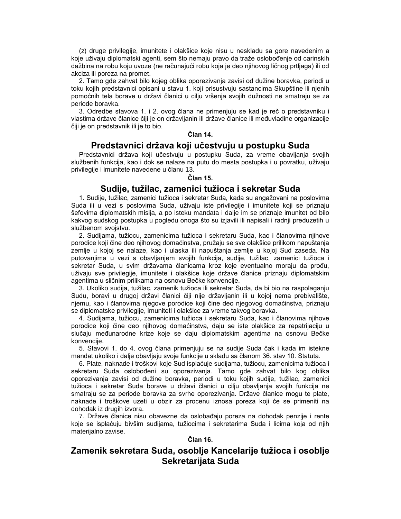(z) druge privilegije, imunitete i olakšice koje nisu u neskladu sa gore navedenim a koje uživaju diplomatski agenti, sem što nemaju pravo da traže oslobođenje od carinskih dažbina na robu koju uvoze (ne računajući robu koja je deo njihovog ličnog prtljaga) ili od akciza ili poreza na promet.

2. Tamo gde zahvat bilo kojeg oblika oporezivanja zavisi od dužine boravka, periodi u toku kojih predstavnici opisani u stavu 1. koji prisustvuju sastancima Skupštine ili njenih pomoćnih tela borave u državi članici u cilju vršenja svojih dužnosti ne smatraju se za periode boravka.

3. Odredbe stavova 1. i 2. ovog člana ne primenjuju se kad je reč o predstavniku i vlastima države članice čiji je on državljanin ili države članice ili međuvladine organizacije čiji je on predstavnik ili je to bio.

### **Član 14.**

### **Predstavnici država koji učestvuju u postupku Suda**

Predstavnici država koji učestvuju u postupku Suda, za vreme obavljanja svojih službenih funkcija, kao i dok se nalaze na putu do mesta postupka i u povratku, uživaju privilegije i imunitete navedene u članu 13.

#### **Član 15.**

### **Sudije, tužilac, zamenici tužioca i sekretar Suda**

1. Sudije, tužilac, zamenici tužioca i sekretar Suda, kada su angažovani na poslovima Suda ili u vezi s poslovima Suda, uživaju iste privilegije i imunitete koji se priznaju šefovima diplomatskih misija, a po isteku mandata i dalje im se priznaje imunitet od bilo kakvog sudskog postupka u pogledu onoga što su izjavili ili napisali i radnji preduzetih u službenom svojstvu.

2. Sudijama, tužiocu, zamenicima tužioca i sekretaru Suda, kao i članovima njihove porodice koji čine deo njihovog domaćinstva, pružaju se sve olakšice prilikom napuštanja zemlje u kojoj se nalaze, kao i ulaska ili napuštanja zemlje u kojoj Sud zaseda. Na putovanjima u vezi s obavljanjem svojih funkcija, sudije, tužilac, zamenici tužioca i sekretar Suda, u svim državama članicama kroz koje eventualno moraju da prođu, uživaju sve privilegije, imunitete i olakšice koje države članice priznaju diplomatskim agentima u sličnim prilikama na osnovu Bečke konvencije.

3. Ukoliko sudija, tužilac, zamenik tužioca ili sekretar Suda, da bi bio na raspolaganju Sudu, boravi u drugoj državi članici čiji nije državljanin ili u kojoj nema prebivalište, njemu, kao i članovima njegove porodice koji čine deo njegovog domaćinstva, priznaju se diplomatske privilegije, imuniteti i olakšice za vreme takvog boravka.

4. Sudijama, tužiocu, zamenicima tužioca i sekretaru Suda, kao i članovima njihove porodice koji čine deo njihovog domaćinstva, daju se iste olakšice za repatrijaciju u slučaju međunarodne krize koje se daju diplomatskim agentima na osnovu Bečke konvencije.

5. Stavovi 1. do 4. ovog člana primenjuju se na sudije Suda čak i kada im istekne mandat ukoliko i dalje obavljaju svoje funkcije u skladu sa članom 36. stav 10. Statuta.

6. Plate, naknade i troškovi koje Sud isplaćuje sudijama, tužiocu, zamenicima tužioca i sekretaru Suda oslobođeni su oporezivanja. Tamo gde zahvat bilo kog oblika oporezivanja zavisi od dužine boravka, periodi u toku kojih sudije, tužilac, zamenici tužioca i sekretar Suda borave u državi članici u cilju obavljanja svojih funkcija ne smatraju se za periode boravka za svrhe oporezivanja. Države članice mogu te plate, naknade i troškove uzeti u obzir za procenu iznosa poreza koji će se primeniti na dohodak iz drugih izvora.

7. Države članice nisu obavezne da oslobađaju poreza na dohodak penzije i rente koje se isplaćuju bivšim sudijama, tužiocima i sekretarima Suda i licima koja od njih materijalno zavise.

#### **Član 16.**

# **Zamenik sekretara Suda, osoblje Kancelarije tužioca i osoblje Sekretarijata Suda**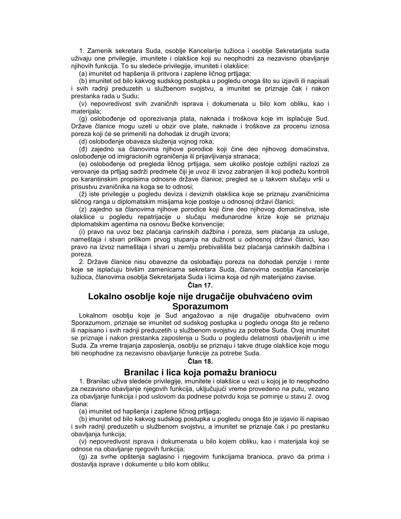1. Zamenik sekretara Suda, osoblje Kancelarije tužioca i osoblje Sekretarijata suda uživaju one privilegije, imunitete i olakšice koji su neophodni za nezavisno obavljanje njihovih funkcija. To su sledeće privilegije, imuniteti i olakšice:

(a) imunitet od hapšenja ili pritvora i zaplene ličnog prtljaga;

(b) imunitet od bilo kakvog sudskog postupka u pogledu onoga što su izjavili ili napisali i svih radnji preduzetih u službenom svojstvu, a imunitet se priznaje čak i nakon prestanka rada u Sudu;

(v) nepovredivost svih zvaničnih isprava i dokumenata u bilo kom obliku, kao i materijala;

(g) oslobođenje od oporezivanja plata, naknada i troškova koje im isplaćuje Sud. Države članice mogu uzeti u obzir ove plate, naknade i troškove za procenu iznosa poreza koji će se primeniti na dohodak iz drugih izvora;

(d) oslobođenje obaveza služenja vojnog roka;

(đ) zajedno sa članovima njihove porodice koji čine deo njihovog domaćinstva, oslobođenje od imigracionih ograničenja ili prijavljivanja stranaca;

(e) oslobođenje od pregleda ličnog prtljaga, sem ukoliko postoje ozbiljni razlozi za verovanje da prtljag sadrži predmete čiji je uvoz ili izvoz zabranjen ili koji podležu kontroli po karantinskim propisima odnosne države članice; pregled se u takvom slučaju vrši u prisustvu zvaničnika na koga se to odnosi;

(ž) iste privilegije u pogledu deviza i deviznih olakšica koje se priznaju zvaničnicima sličnog ranga u diplomatskim misijama koje postoje u odnosnoj državi članici;

(z) zajedno sa članovima njihove porodice koji čine deo njihovog domaćinstva, iste olakšice u pogledu repatrijacije u slučaju međunarodne krize koje se priznaju diplomatskim agentima na osnovu Bečke konvencije;

(i) pravo na uvoz bez plaćanja carinskih dažbina i poreza, sem plaćanja za usluge, nameštaja i stvari prilikom prvog stupanja na dužnost u odnosnoj državi članici, kao pravo na izvoz nameštaja i stvari u zemlju prebivališta bez plaćanja carinskih dažbina i poreza.

2. Države članice nisu obavezne da oslobađaju poreza na dohodak penzije i rente koje se isplaćuju bivšim zamenicama sekretara Suda, članovima osoblja Kancelarije tužioca, članovima osoblja Sekretarijata Suda i licima koja od njih materijalno zavise.

#### **Član 17.**

# **Lokalno osoblje koje nije drugačije obuhvaćeno ovim Sporazumom**

Lokalnom osoblju koje je Sud angažovao a nije drugačije obuhvaćeno ovim Sporazumom, priznaje se imunitet od sudskog postupka u pogledu onoga što je rečeno ili napisano i svih radnji preduzetih u službenom svojstvu za potrebe Suda. Ovaj imunitet se priznaje i nakon prestanka zaposlenja u Sudu u pogledu delatnosti obavljenih u ime Suda. Za vreme trajanja zaposlenja, osoblju se priznaju i takve druge olakšice koje mogu biti neophodne za nezavisno obavljanje funkcije za potrebe Suda.

#### **Član 18.**

### **Branilac i lica koja pomažu braniocu**

1. Branilac uživa sledeće privilegije, imunitete i olakšice u vezi u kojoj je to neophodno za nezavisno obavljanje njegovih funkcija, uključujući vreme provedeno na putu, vezano za obavljanje funkcija i pod uslovom da podnese potvrdu koja se pominje u stavu 2. ovog člana:

(a) imunitet od hapšenja i zaplene ličnog prtljaga;

(b) imunitet od bilo kakvog sudskog postupka u pogledu onoga što je izjavio ili napisao i svih radnji preduzetih u službenom svojstvu, a imunitet se priznaje čak i po prestanku obavljanja funkcija;

(v) nepovredivost isprava i dokumenata u bilo kojem obliku, kao i materijala koji se odnose na obavljanje njegovih funkcija;

(g) za svrhe opštenja saglasno i njegovim funkcijama branioca, pravo da prima i dostavlja isprave i dokumente u bilo kom obliku;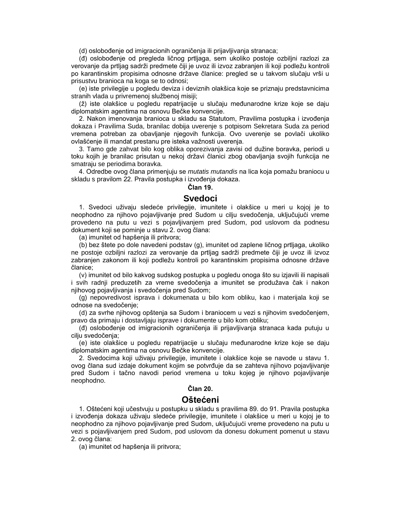(d) oslobođenje od imigracionih ograničenja ili prijavljivanja stranaca;

(đ) oslobođenje od pregleda ličnog prtljaga, sem ukoliko postoje ozbiljni razlozi za verovanje da prtljag sadrži predmete čiji je uvoz ili izvoz zabranjen ili koji podležu kontroli po karantinskim propisima odnosne države članice: pregled se u takvom slučaju vrši u prisustvu branioca na koga se to odnosi;

(e) iste privilegije u pogledu deviza i deviznih olakšica koje se priznaju predstavnicima stranih vlada u privremenoj službenoj misiji;

(ž) iste olakšice u pogledu repatrijacije u slučaju međunarodne krize koje se daju diplomatskim agentima na osnovu Bečke konvencije.

2. Nakon imenovanja branioca u skladu sa Statutom, Pravilima postupka i izvođenja dokaza i Pravilima Suda, branilac dobija uverenje s potpisom Sekretara Suda za period vremena potreban za obavljanje njegovih funkcija. Ovo uverenje se povlači ukoliko ovlašćenje ili mandat prestanu pre isteka važnosti uverenja.

3. Tamo gde zahvat bilo kog oblika oporezivanja zavisi od dužine boravka, periodi u toku kojih je branilac prisutan u nekoj državi članici zbog obavljanja svojih funkcija ne smatraju se periodima boravka.

4. Odredbe ovog člana primenjuju se *mutatis mutandis* na lica koja pomažu braniocu u skladu s pravilom 22. Pravila postupka i izvođenja dokaza.

#### **Član 19.**

#### **Svedoci**

1. Svedoci uživaju sledeće privilegije, imunitete i olakšice u meri u kojoj je to neophodno za njihovo pojavljivanje pred Sudom u cilju svedočenja, uključujući vreme provedeno na putu u vezi s pojavljivanjem pred Sudom, pod uslovom da podnesu dokument koji se pominje u stavu 2. ovog člana:

(a) imunitet od hapšenja ili pritvora;

(b) bez štete po dole navedeni podstav (g), imunitet od zaplene ličnog prtljaga, ukoliko ne postoje ozbiljni razlozi za verovanje da prtljag sadrži predmete čiji je uvoz ili izvoz zabranjen zakonom ili koji podležu kontroli po karantinskim propisima odnosne države članice;

(v) imunitet od bilo kakvog sudskog postupka u pogledu onoga što su izjavili ili napisali i svih radnji preduzetih za vreme svedočenja a imunitet se produžava čak i nakon njihovog pojavljivanja i svedočenja pred Sudom;

(g) nepovredivost isprava i dokumenata u bilo kom obliku, kao i materijala koji se odnose na svedočenje;

(d) za svrhe njihovog opštenja sa Sudom i braniocem u vezi s njihovim svedočenjem, pravo da primaju i dostavljaju isprave i dokumente u bilo kom obliku;

(đ) oslobođenje od imigracionih ograničenja ili prijavljivanja stranaca kada putuju u cilju svedočenja;

(e) iste olakšice u pogledu repatrijacije u slučaju međunarodne krize koje se daju diplomatskim agentima na osnovu Bečke konvencije.

2. Svedocima koji uživaju privilegije, imunitete i olakšice koje se navode u stavu 1. ovog člana sud izdaje dokument kojim se potvrđuje da se zahteva njihovo pojavljivanje pred Sudom i tačno navodi period vremena u toku kojeg je njihovo pojavljivanje neophodno.

#### **Član 20.**

#### **Oštećeni**

1. Oštećeni koji učestvuju u postupku u skladu s pravilima 89. do 91. Pravila postupka i izvođenja dokaza uživaju sledeće privilegije, imunitete i olakšice u meri u kojoj je to neophodno za njihovo pojavljivanje pred Sudom, uključujući vreme provedeno na putu u vezi s pojavljivanjem pred Sudom, pod uslovom da donesu dokument pomenut u stavu 2. ovog člana:

(a) imunitet od hapšenja ili pritvora;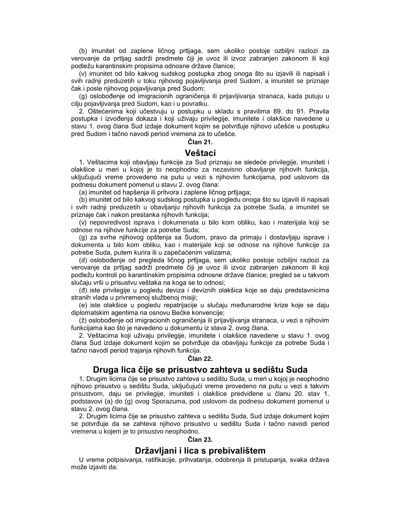(b) imunitet od zaplene ličnog prtljaga, sem ukoliko postoje ozbiljni razlozi za verovanje da prtljag sadrži predmete čiji je uvoz ili izvoz zabranjen zakonom ili koji podležu karantinskim propisima odnosne države članice;

(v) imunitet od bilo kakvog sudskog postupka zbog onoga što su izjavili ili napisali i svih radnji preduzetih u toku njihovog pojavljivanja pred Sudom, a imunitet se priznaje čak i posle njihovog pojavljivanja pred Sudom;

(g) oslobođenje od imigracionih ograničenja ili prijavljivanja stranaca, kada putuju u cilju pojavljivanja pred Sudom, kao i u povratku.

2. Oštećenima koji učestvuju u postupku u skladu s pravilima 89. do 91. Pravila postupka i izvođenja dokaza i koji uživaju privilegije, imunitete i olakšice navedene u stavu 1. ovog člana Sud izdaje dokument kojim se potvrđuje njihovo učešće u postupku pred Sudom i tačno navodi period vremena za to učešće.

#### **Član 21.**

### **Veštaci**

1. Veštacima koji obavljaju funkcije za Sud priznaju se sledeće privilegije, imuniteti i olakšice u meri u kojoj je to neophodno za nezavisno obavljanje njihovih funkcija, uključujući vreme provedeno na putu u vezi s njihovim funkcijama, pod uslovom da podnesu dokument pomenut u stavu 2. ovog člana:

(a) imunitet od hapšenja ili pritvora i zaplene ličnog prtljaga;

(b) imunitet od bilo kakvog sudskog postupka u pogledu onoga što su izjavili ili napisali i svih radnji preduzetih u obavljanju njihovih funkcija za potrebe Suda, a imunitet se priznaje čak i nakon prestanka njihovih funkcija;

(v) nepovredivost isprava i dokumenata u bilo kom obliku, kao i materijala koji se odnose na njihove funkcije za potrebe Suda;

(g) za svrhe njihovog opštenja sa Sudom, pravo da primaju i dostavljaju isprave i dokumenta u bilo kom obliku, kao i materijale koji se odnose na njihove funkcije za potrebe Suda, putem kurira ili u zapečaćenim valizama;

(d) oslobođenje od pregleda ličnog prtljaga, sem ukoliko postoje ozbiljni razlozi za verovanje da prtljag sadrži predmete čiji je uvoz ili izvoz zabranjen zakonom ili koji podležu kontroli po karantinskim propisima odnosne države članice; pregled se u takvom slučaju vrši u prisustvu veštaka na koga se to odnosi;

(đ) iste privilegije u pogledu deviza i deviznih olakšica koje se daju predstavnicima stranih vlada u privremenoj službenoj misiji;

(e) iste olakšice u pogledu repatrijacije u slučaju međunarodne krize koje se daju diplomatskim agentima na osnovu Bečke konvencije;

(ž) oslobođenje od imigracionih ograničenja ili prijavljivanja stranaca, u vezi s njihovim funkcijama kao što je navedeno u dokumentu iz stava 2. ovog člana.

2. Veštacima koji uživaju privilegije, imunitete i olakšice navedene u stavu 1. ovog člana Sud izdaje dokument kojim se potvrđuje da obavljaju funkcije za potrebe Suda i tačno navodi period trajanja njihovih funkcija.

#### **Član 22.**

### **Druga lica čije se prisustvo zahteva u sedištu Suda**

1. Drugim licima čije se prisustvo zahteva u sedištu Suda, u meri u kojoj je neophodno njihovo prisustvo u sedištu Suda, uključujući vreme provedeno na putu u vezi s takvim prisustvom, daju se privilegije, imuniteti i olakšice predviđene u članu 20. stav 1. podstavovi (a) do (g) ovog Sporazuma, pod uslovom da podnesu dokument pomenut u stavu 2. ovog člana.

2. Drugim licima čije se prisustvo zahteva u sedištu Suda, Sud izdaje dokument kojim se potvrđuje da se zahteva njihovo prisustvo u sedištu Suda i tačno navodi period vremena u kojem je to prisustvo neophodno.

#### **Član 23.**

# **Državljani i lica s prebivalištem**

U vreme potpisivanja, ratifikacije, prihvatanja, odobrenja ili pristupanja, svaka država može izjaviti da: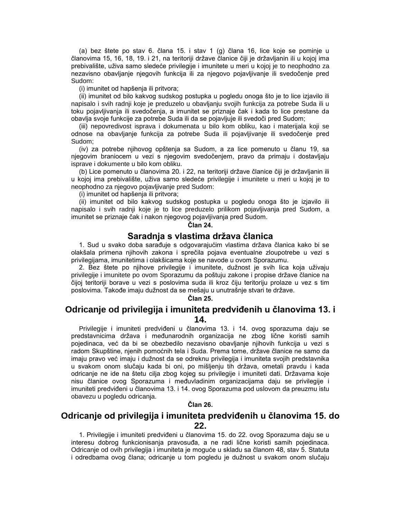(a) bez štete po stav 6. člana 15. i stav 1 (g) člana 16, lice koje se pominje u članovima 15, 16, 18, 19. i 21, na teritoriji države članice čiji je državljanin ili u kojoj ima prebivalište, uživa samo sledeće privilegije i imunitete u meri u kojoj je to neophodno za nezavisno obavljanje njegovih funkcija ili za njegovo pojavljivanje ili svedočenje pred Sudom:

(i) imunitet od hapšenja ili pritvora;

(ii) imunitet od bilo kakvog sudskog postupka u pogledu onoga što je to lice izjavilo ili napisalo i svih radnji koje je preduzelo u obavljanju svojih funkcija za potrebe Suda ili u toku pojavljivanja ili svedočenja, a imunitet se priznaje čak i kada to lice prestane da obavlja svoje funkcije za potrebe Suda ili da se pojavljuje ili svedoči pred Sudom;

(iii) nepovredivost isprava i dokumenata u bilo kom obliku, kao i materijala koji se odnose na obavljanje funkcija za potrebe Suda ili pojavljivanje ili svedočenje pred Sudom;

(iv) za potrebe njihovog opštenja sa Sudom, a za lice pomenuto u članu 19, sa njegovim braniocem u vezi s njegovim svedočenjem, pravo da primaju i dostavljaju isprave i dokumente u bilo kom obliku.

(b) Lice pomenuto u članovima 20. i 22, na teritoriji države članice čiji je državljanin ili u kojoj ima prebivalište, uživa samo sledeće privilegije i imunitete u meri u kojoj je to neophodno za njegovo pojavljivanje pred Sudom:

(i) imunitet od hapšenja ili pritvora;

(ii) imunitet od bilo kakvog sudskog postupka u pogledu onoga što je izjavilo ili napisalo i svih radnji koje je to lice preduzelo prilikom pojavljivanja pred Sudom, a imunitet se priznaje čak i nakon njegovog pojavljivanja pred Sudom.

#### **Član 24.**

### **Saradnja s vlastima država članica**

1. Sud u svako doba sarađuje s odgovarajućim vlastima država članica kako bi se olakšala primena njihovih zakona i sprečila pojava eventualne zloupotrebe u vezi s privilegijama, imunitetima i olakšicama koje se navode u ovom Sporazumu.

2. Bez štete po njihove privilegije i imunitete, dužnost je svih lica koja uživaju privilegije i imunitete po ovom Sporazumu da poštuju zakone i propise države članice na čijoj teritoriji borave u vezi s poslovima suda ili kroz čiju teritoriju prolaze u vez s tim poslovima. Takođe imaju dužnost da se mešaju u unutrašnje stvari te države.

#### **Član 25.**

# **Odricanje od privilegija i imuniteta predviđenih u članovima 13. i 14.**

Privilegije i imuniteti predviđeni u članovima 13. i 14. ovog sporazuma daju se predstavnicima država i međunarodnih organizacija ne zbog lične koristi samih pojedinaca, već da bi se obezbedilo nezavisno obavljanje njihovih funkcija u vezi s radom Skupštine, njenih pomoćnih tela i Suda. Prema tome, države članice ne samo da imaju pravo već imaju i dužnost da se odreknu privilegija i imuniteta svojih predstavnika u svakom onom slučaju kada bi oni, po mišljenju tih država, ometali pravdu i kada odricanje ne ide na štetu cilja zbog kojeg su privilegije i imuniteti dati. Državama koje nisu članice ovog Sporazuma i međuvladinim organizacijama daju se privilegije i imuniteti predviđeni u članovima 13. i 14. ovog Sporazuma pod uslovom da preuzmu istu obavezu u pogledu odricanja.

### **Član 26.**

# **Odricanje od privilegija i imuniteta predviđenih u članovima 15. do 22.**

1. Privilegije i imuniteti predviđeni u članovima 15. do 22. ovog Sporazuma daju se u interesu dobrog funkcionisanja pravosuđa, a ne radi lične koristi samih pojedinaca. Odricanje od ovih privilegija i imuniteta je moguće u skladu sa članom 48, stav 5. Statuta i odredbama ovog člana; odricanje u tom pogledu je dužnost u svakom onom slučaju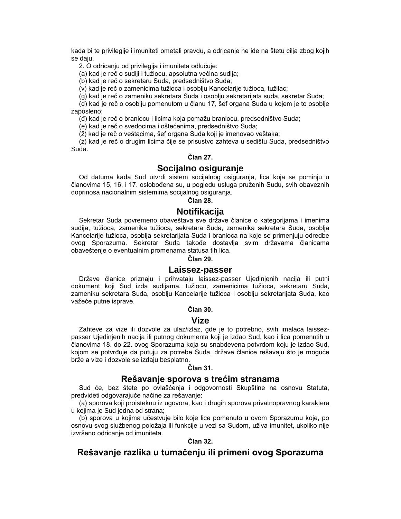kada bi te privilegije i imuniteti ometali pravdu, a odricanje ne ide na štetu cilja zbog kojih se daju.

2. O odricanju od privilegija i imuniteta odlučuje:

(a) kad je reč o sudiji i tužiocu, apsolutna većina sudija;

(b) kad je reč o sekretaru Suda, predsedništvo Suda;

(v) kad je reč o zamenicima tužioca i osoblju Kancelarije tužioca, tužilac;

(g) kad je reč o zameniku sekretara Suda i osoblju sekretarijata suda, sekretar Suda; (d) kad je reč o osoblju pomenutom u članu 17, šef organa Suda u kojem je to osoblje zaposleno;

(đ) kad je reč o braniocu i licima koja pomažu braniocu, predsedništvo Suda;

(e) kad je reč o svedocima i oštećenima, predsedništvo Suda;

(ž) kad je reč o veštacima, šef organa Suda koji je imenovao veštaka;

(z) kad je reč o drugim licima čije se prisustvo zahteva u sedištu Suda, predsedništvo Suda.

### **Član 27.**

# **Socijalno osiguranje**

Od datuma kada Sud utvrdi sistem socijalnog osiguranja, lica koja se pominju u članovima 15, 16. i 17. oslobođena su, u pogledu usluga pruženih Sudu, svih obaveznih doprinosa nacionalnim sistemima socijalnog osiguranja.

#### **Član 28.**

### **Notifikacija**

Sekretar Suda povremeno obaveštava sve države članice o kategorijama i imenima sudija, tužioca, zamenika tužioca, sekretara Suda, zamenika sekretara Suda, osoblja Kancelarije tužioca, osoblja sekretarijata Suda i branioca na koje se primenjuju odredbe ovog Sporazuma. Sekretar Suda takođe dostavlja svim državama članicama obaveštenje o eventualnim promenama statusa tih lica.

#### **Član 29.**

### **Laissez-passer**

Države članice priznaju i prihvataju laissez-passer Ujedinjenih nacija ili putni dokument koji Sud izda sudijama, tužiocu, zamenicima tužioca, sekretaru Suda, zameniku sekretara Suda, osoblju Kancelarije tužioca i osoblju sekretarijata Suda, kao važeće putne isprave.

### **Član 30.**

#### **Vize**

Zahteve za vize ili dozvole za ulaz/izlaz, gde je to potrebno, svih imalaca laissezpasser Ujedinjenih nacija ili putnog dokumenta koji je izdao Sud, kao i lica pomenutih u članovima 18. do 22. ovog Sporazuma koja su snabdevena potvrdom koju je izdao Sud, kojom se potvrđuje da putuju za potrebe Suda, države članice rešavaju što je moguće brže a vize i dozvole se izdaju besplatno.

#### **Član 31.**

### **Rešavanje sporova s trećim stranama**

Sud će, bez štete po ovlašćenja i odgovornosti Skupštine na osnovu Statuta, predvideti odgovarajuće načine za rešavanje:

(a) sporova koji proisteknu iz ugovora, kao i drugih sporova privatnopravnog karaktera u kojima je Sud jedna od strana;

(b) sporova u kojima učestvuje bilo koje lice pomenuto u ovom Sporazumu koje, po osnovu svog službenog položaja ili funkcije u vezi sa Sudom, uživa imunitet, ukoliko nije izvršeno odricanje od imuniteta.

#### **Član 32.**

# **Rešavanje razlika u tumačenju ili primeni ovog Sporazuma**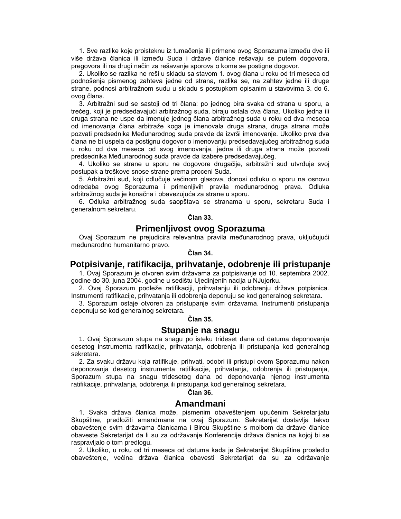1. Sve razlike koje proisteknu iz tumačenja ili primene ovog Sporazuma između dve ili više država članica ili između Suda i države članice rešavaju se putem dogovora, pregovora ili na drugi način za rešavanje sporova o kome se postigne dogovor.

2. Ukoliko se razlika ne reši u skladu sa stavom 1. ovog člana u roku od tri meseca od podnošenja pismenog zahteva jedne od strana, razlika se, na zahtev jedne ili druge strane, podnosi arbitražnom sudu u skladu s postupkom opisanim u stavovima 3. do 6. ovog člana.

3. Arbitražni sud se sastoji od tri člana: po jednog bira svaka od strana u sporu, a trećeg, koji je predsedavajući arbitražnog suda, biraju ostala dva člana. Ukoliko jedna ili druga strana ne uspe da imenuje jednog člana arbitražnog suda u roku od dva meseca od imenovanja člana arbitraže koga je imenovala druga strana, druga strana može pozvati predsednika Međunarodnog suda pravde da izvrši imenovanje. Ukoliko prva dva člana ne bi uspela da postignu dogovor o imenovanju predsedavajućeg arbitražnog suda u roku od dva meseca od svog imenovanja, jedna ili druga strana može pozvati predsednika Međunarodnog suda pravde da izabere predsedavajućeg.

4. Ukoliko se strane u sporu ne dogovore drugačije, arbitražni sud utvrđuje svoj postupak a troškove snose strane prema proceni Suda.

5. Arbitražni sud, koji odlučuje većinom glasova, donosi odluku o sporu na osnovu odredaba ovog Sporazuma i primenljivih pravila međunarodnog prava. Odluka arbitražnog suda je konačna i obavezujuća za strane u sporu.

6. Odluka arbitražnog suda saopštava se stranama u sporu, sekretaru Suda i generalnom sekretaru.

### **Član 33.**

# **Primenljivost ovog Sporazuma**

Ovaj Sporazum ne prejudicira relevantna pravila međunarodnog prava, uključujući međunarodno humanitarno pravo.

#### **Član 34.**

### **Potpisivanje, ratifikacija, prihvatanje, odobrenje ili pristupanje**

1. Ovaj Sporazum je otvoren svim državama za potpisivanje od 10. septembra 2002. godine do 30. juna 2004. godine u sedištu Ujedinjenih nacija u NJujorku.

2. Ovaj Sporazum podleže ratifikaciji, prihvatanju ili odobrenju država potpisnica. Instrumenti ratifikacije, prihvatanja ili odobrenja deponuju se kod generalnog sekretara.

3. Sporazum ostaje otvoren za pristupanje svim državama. Instrumenti pristupanja deponuju se kod generalnog sekretara.

### **Član 35.**

### **Stupanje na snagu**

1. Ovaj Sporazum stupa na snagu po isteku trideset dana od datuma deponovanja desetog instrumenta ratifikacije, prihvatanja, odobrenja ili pristupanja kod generalnog sekretara.

2. Za svaku državu koja ratifikuje, prihvati, odobri ili pristupi ovom Sporazumu nakon deponovanja desetog instrumenta ratifikacije, prihvatanja, odobrenja ili pristupanja, Sporazum stupa na snagu tridesetog dana od deponovanja njenog instrumenta ratifikacije, prihvatanja, odobrenja ili pristupanja kod generalnog sekretara.

### **Član 36.**

#### **Amandmani**

1. Svaka država članica može, pismenim obaveštenjem upućenim Sekretarijatu Skupštine, predložiti amandmane na ovaj Sporazum. Sekretarijat dostavlja takvo obaveštenje svim državama članicama i Birou Skupštine s molbom da države članice obaveste Sekretarijat da li su za održavanje Konferencije država članica na kojoj bi se raspravljalo o tom predlogu.

2. Ukoliko, u roku od tri meseca od datuma kada je Sekretarijat Skupštine prosledio obaveštenje, većina država članica obavesti Sekretarijat da su za održavanje